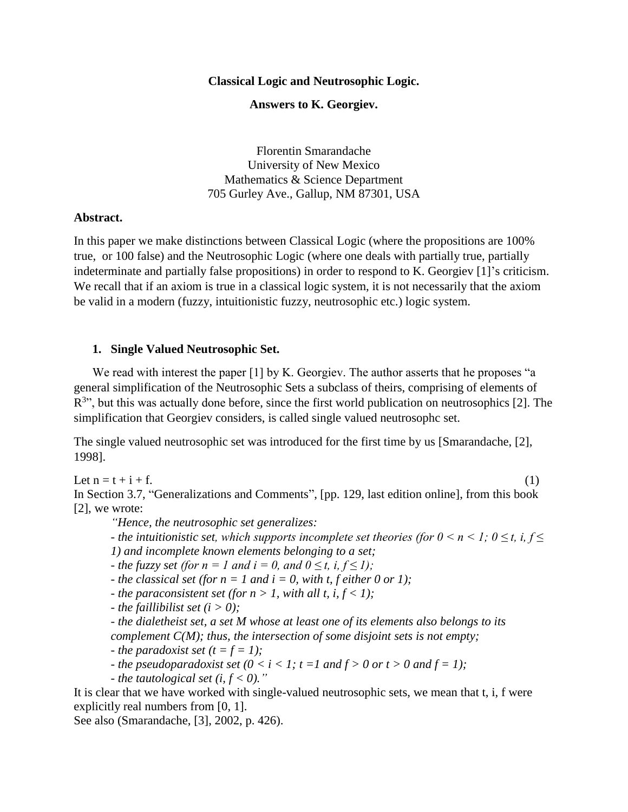#### **Classical Logic and Neutrosophic Logic.**

### **Answers to K. Georgiev.**

Florentin Smarandache University of New Mexico Mathematics & Science Department 705 Gurley Ave., Gallup, NM 87301, USA

#### **Abstract.**

In this paper we make distinctions between Classical Logic (where the propositions are 100% true, or 100 false) and the Neutrosophic Logic (where one deals with partially true, partially indeterminate and partially false propositions) in order to respond to K. Georgiev [1]'s criticism. We recall that if an axiom is true in a classical logic system, it is not necessarily that the axiom be valid in a modern (fuzzy, intuitionistic fuzzy, neutrosophic etc.) logic system.

#### **1. Single Valued Neutrosophic Set.**

We read with interest the paper [1] by K. Georgiev. The author asserts that he proposes "a general simplification of the Neutrosophic Sets a subclass of theirs, comprising of elements of  $R^{3\nu}$ , but this was actually done before, since the first world publication on neutrosophics [2]. The simplification that Georgiev considers, is called single valued neutrosophc set.

The single valued neutrosophic set was introduced for the first time by us [Smarandache, [2], 1998].

Let  $n = t + i + f$ . (1)

In Section 3.7, "Generalizations and Comments", [pp. 129, last edition online], from this book [2], we wrote:

*"Hence, the neutrosophic set generalizes:*

*-* the intuitionistic set, which supports incomplete set theories (for  $0 \le n \le 1$ ;  $0 \le t$ , i,  $f \le$ *1) and incomplete known elements belonging to a set;*

*- the fuzzy set (for n = 1 and i = 0, and*  $0 \le t$ *, i,*  $f \le 1$ *);* 

*- the classical set (for*  $n = 1$  *and*  $i = 0$ *, with t, f either 0 or 1);* 

*- the paraconsistent set (for*  $n > 1$ *, with all t, i,*  $f < 1$ *);* 

*- the faillibilist set*  $(i > 0)$ ;

*- the dialetheist set, a set M whose at least one of its elements also belongs to its complement C(M); thus, the intersection of some disjoint sets is not empty;*

*- the paradoxist set*  $(t = f = 1)$ ;

*- the pseudoparadoxist set*  $(0 < i < 1; t = 1$  *and*  $f > 0$  *or*  $t > 0$  *and*  $f = 1$ *);* 

*- the tautological set (i,*  $f < 0$ *).*"

It is clear that we have worked with single-valued neutrosophic sets, we mean that t, i, f were explicitly real numbers from [0, 1].

See also (Smarandache, [3], 2002, p. 426).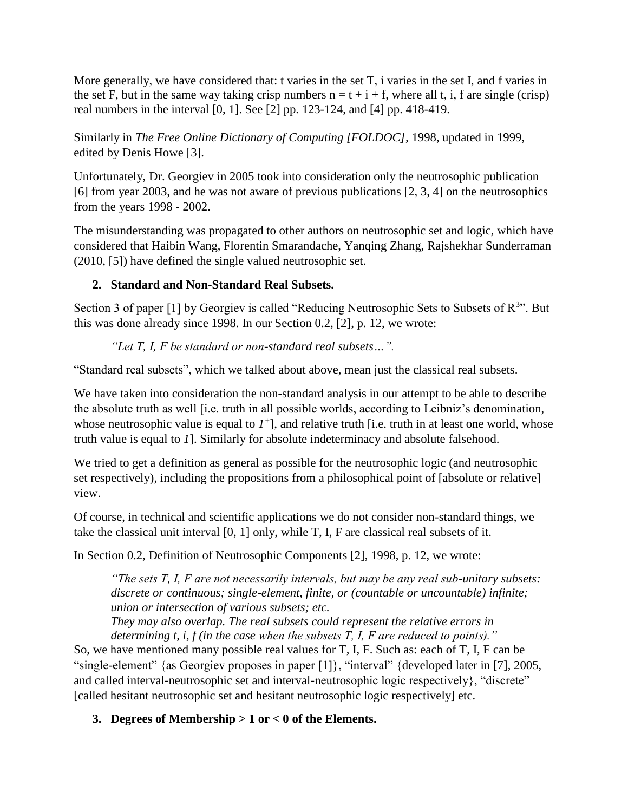More generally, we have considered that: t varies in the set T, i varies in the set I, and f varies in the set F, but in the same way taking crisp numbers  $n = t + i + f$ , where all t, i, f are single (crisp) real numbers in the interval [0, 1]. See [2] pp. 123-124, and [4] pp. 418-419.

Similarly in *The Free Online Dictionary of Computing [FOLDOC]*, 1998, updated in 1999, edited by Denis Howe [3].

Unfortunately, Dr. Georgiev in 2005 took into consideration only the neutrosophic publication [6] from year 2003, and he was not aware of previous publications [2, 3, 4] on the neutrosophics from the years 1998 - 2002.

The misunderstanding was propagated to other authors on neutrosophic set and logic, which have considered that Haibin Wang, Florentin Smarandache, Yanqing Zhang, Rajshekhar Sunderraman (2010, [5]) have defined the single valued neutrosophic set.

# **2. Standard and Non-Standard Real Subsets.**

Section 3 of paper [1] by Georgiev is called "Reducing Neutrosophic Sets to Subsets of  $R^{3}$ ". But this was done already since 1998. In our Section 0.2, [2], p. 12, we wrote:

# *"Let T, I, F be standard or non-standard real subsets…".*

"Standard real subsets", which we talked about above, mean just the classical real subsets.

We have taken into consideration the non-standard analysis in our attempt to be able to describe the absolute truth as well [i.e. truth in all possible worlds, according to Leibniz's denomination, whose neutrosophic value is equal to  $I^+$ ], and relative truth [i.e. truth in at least one world, whose truth value is equal to *1*]. Similarly for absolute indeterminacy and absolute falsehood.

We tried to get a definition as general as possible for the neutrosophic logic (and neutrosophic set respectively), including the propositions from a philosophical point of [absolute or relative] view.

Of course, in technical and scientific applications we do not consider non-standard things, we take the classical unit interval [0, 1] only, while T, I, F are classical real subsets of it.

In Section 0.2, Definition of Neutrosophic Components [2], 1998, p. 12, we wrote:

*"The sets T, I, F are not necessarily intervals, but may be any real sub-unitary subsets: discrete or continuous; single-element, finite, or (countable or uncountable) infinite; union or intersection of various subsets; etc.*

*They may also overlap. The real subsets could represent the relative errors in determining t, i, f (in the case when the subsets T, I, F are reduced to points)."*

So, we have mentioned many possible real values for T, I, F. Such as: each of T, I, F can be "single-element" {as Georgiev proposes in paper [1]}, "interval" {developed later in [7], 2005, and called interval-neutrosophic set and interval-neutrosophic logic respectively}, "discrete" [called hesitant neutrosophic set and hesitant neutrosophic logic respectively] etc.

# **3. Degrees of Membership > 1 or < 0 of the Elements.**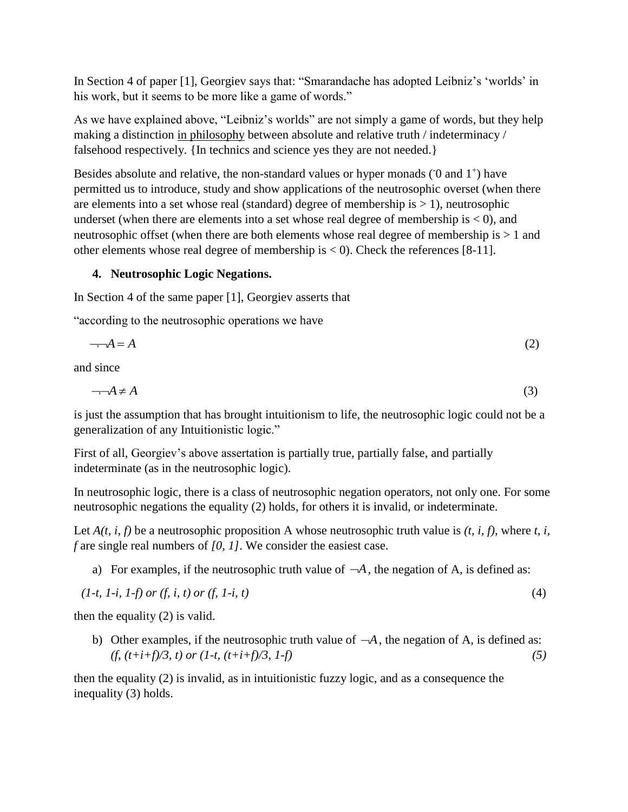In Section 4 of paper [1], Georgiev says that: "Smarandache has adopted Leibniz's 'worlds' in his work, but it seems to be more like a game of words."

As we have explained above, "Leibniz's worlds" are not simply a game of words, but they help making a distinction in philosophy between absolute and relative truth / indeterminacy / falsehood respectively. {In technics and science yes they are not needed.}

Besides absolute and relative, the non-standard values or hyper monads  $(0 \text{ and } 1^+)$  have permitted us to introduce, study and show applications of the neutrosophic overset (when there are elements into a set whose real (standard) degree of membership is  $> 1$ ), neutrosophic underset (when there are elements into a set whose real degree of membership is  $<$  0), and neutrosophic offset (when there are both elements whose real degree of membership is > 1 and other elements whose real degree of membership is  $<$  0). Check the references [8-11].

## **4. Neutrosophic Logic Negations.**

In Section 4 of the same paper [1], Georgiev asserts that

"according to the neutrosophic operations we have

$$
\neg\neg A = A \tag{2}
$$

and since

$$
\neg\neg A \neq A \tag{3}
$$

is just the assumption that has brought intuitionism to life, the neutrosophic logic could not be a generalization of any Intuitionistic logic."

First of all, Georgiev's above assertation is partially true, partially false, and partially indeterminate (as in the neutrosophic logic).

In neutrosophic logic, there is a class of neutrosophic negation operators, not only one. For some neutrosophic negations the equality (2) holds, for others it is invalid, or indeterminate.

Let  $A(t, i, f)$  be a neutrosophic proposition A whose neutrosophic truth value is  $(t, i, f)$ , where  $t, i$ , *f* are single real numbers of *[0, 1]*. We consider the easiest case.

a) For examples, if the neutrosophic truth value of  $-A$ , the negation of A, is defined as:

$$
(1-t, 1-i, 1-f) \text{ or } (f, i, t) \text{ or } (f, 1-i, t) \tag{4}
$$

then the equality (2) is valid.

b) Other examples, if the neutrosophic truth value of  $-A$ , the negation of A, is defined as:  $(f, (t+i+f)/3, t)$  *or*  $(1-t, (t+i+f)/3, 1-f)$  (5)

then the equality (2) is invalid, as in intuitionistic fuzzy logic, and as a consequence the inequality (3) holds.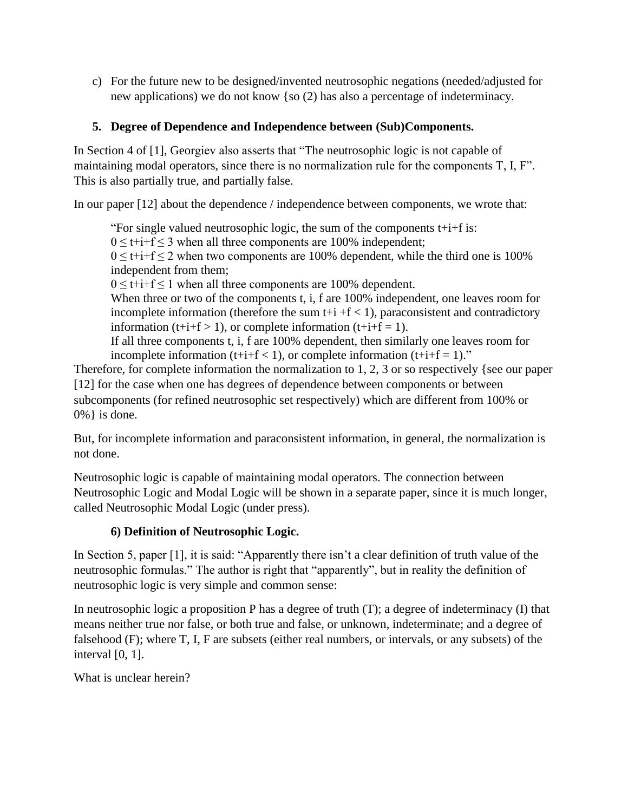c) For the future new to be designed/invented neutrosophic negations (needed/adjusted for new applications) we do not know {so (2) has also a percentage of indeterminacy.

## **5. Degree of Dependence and Independence between (Sub)Components.**

In Section 4 of [1], Georgiev also asserts that "The neutrosophic logic is not capable of maintaining modal operators, since there is no normalization rule for the components T, I, F". This is also partially true, and partially false.

In our paper [12] about the dependence / independence between components, we wrote that:

"For single valued neutrosophic logic, the sum of the components  $t+i+f$  is:  $0 \leq t + i + f \leq 3$  when all three components are 100% independent;  $0 \leq t + i + f \leq 2$  when two components are 100% dependent, while the third one is 100% independent from them;

 $0 \leq t + i + f \leq 1$  when all three components are 100% dependent.

When three or two of the components t, i, f are 100% independent, one leaves room for incomplete information (therefore the sum  $t+i + f < 1$ ), paraconsistent and contradictory information (t+i+f > 1), or complete information (t+i+f = 1).

If all three components t, i, f are 100% dependent, then similarly one leaves room for incomplete information ( $t+i+f < 1$ ), or complete information ( $t+i+f = 1$ )."

Therefore, for complete information the normalization to 1, 2, 3 or so respectively {see our paper [12] for the case when one has degrees of dependence between components or between subcomponents (for refined neutrosophic set respectively) which are different from 100% or 0%} is done.

But, for incomplete information and paraconsistent information, in general, the normalization is not done.

Neutrosophic logic is capable of maintaining modal operators. The connection between Neutrosophic Logic and Modal Logic will be shown in a separate paper, since it is much longer, called Neutrosophic Modal Logic (under press).

### **6) Definition of Neutrosophic Logic.**

In Section 5, paper [1], it is said: "Apparently there isn't a clear definition of truth value of the neutrosophic formulas." The author is right that "apparently", but in reality the definition of neutrosophic logic is very simple and common sense:

In neutrosophic logic a proposition P has a degree of truth (T); a degree of indeterminacy (I) that means neither true nor false, or both true and false, or unknown, indeterminate; and a degree of falsehood (F); where T, I, F are subsets (either real numbers, or intervals, or any subsets) of the interval [0, 1].

What is unclear herein?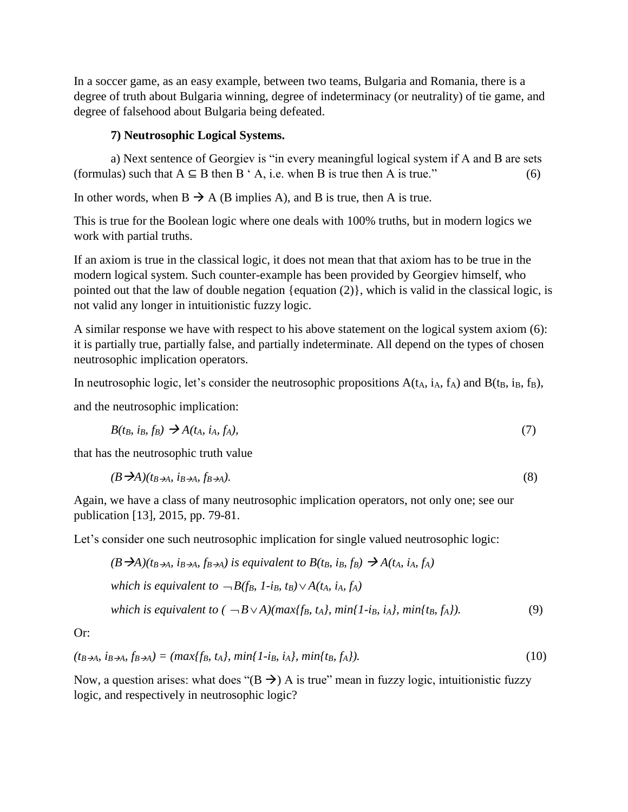In a soccer game, as an easy example, between two teams, Bulgaria and Romania, there is a degree of truth about Bulgaria winning, degree of indeterminacy (or neutrality) of tie game, and degree of falsehood about Bulgaria being defeated.

### **7) Neutrosophic Logical Systems.**

a) Next sentence of Georgiev is "in every meaningful logical system if A and B are sets (formulas) such that  $A \subseteq B$  then  $B \cap A$ , i.e. when B is true then A is true." (6)

In other words, when  $B \to A$  (B implies A), and B is true, then A is true.

This is true for the Boolean logic where one deals with 100% truths, but in modern logics we work with partial truths.

If an axiom is true in the classical logic, it does not mean that that axiom has to be true in the modern logical system. Such counter-example has been provided by Georgiev himself, who pointed out that the law of double negation {equation (2)}, which is valid in the classical logic, is not valid any longer in intuitionistic fuzzy logic.

A similar response we have with respect to his above statement on the logical system axiom (6): it is partially true, partially false, and partially indeterminate. All depend on the types of chosen neutrosophic implication operators.

In neutrosophic logic, let's consider the neutrosophic propositions  $A(t_A, i_A, f_A)$  and  $B(t_B, i_B, f_B)$ ,

and the neutrosophic implication:

$$
B(t_B, i_B, f_B) \rightarrow A(t_A, i_A, f_A), \tag{7}
$$

that has the neutrosophic truth value

$$
(B \rightarrow A)(t_{B \rightarrow A}, \, i_{B \rightarrow A}, f_{B \rightarrow A}). \tag{8}
$$

Again, we have a class of many neutrosophic implication operators, not only one; see our publication [13], 2015, pp. 79-81.

Let's consider one such neutrosophic implication for single valued neutrosophic logic:

$$
(B \rightarrow A)(t_{B \rightarrow A}, i_{B \rightarrow A}, f_{B \rightarrow A}) \text{ is equivalent to } B(t_B, i_B, f_B) \rightarrow A(t_A, i_A, f_A)
$$
\n
$$
\text{which is equivalent to } \neg B(f_B, 1 - i_B, t_B) \lor A(t_A, i_A, f_A)
$$
\n
$$
\text{which is equivalent to } (\neg B \lor A)(\text{max}\{f_B, t_A\}, \text{min}\{1 - i_B, i_A\}, \text{min}\{t_B, f_A\}). \tag{9}
$$

Or:

$$
(t_{B \to A}, i_{B \to A}, f_{B \to A}) = (max\{f_B, t_A\}, min\{1 - i_B, i_A\}, min\{t_B, f_A\}).
$$
\n(10)

Now, a question arises: what does " $(B \rightarrow)$  A is true" mean in fuzzy logic, intuitionistic fuzzy logic, and respectively in neutrosophic logic?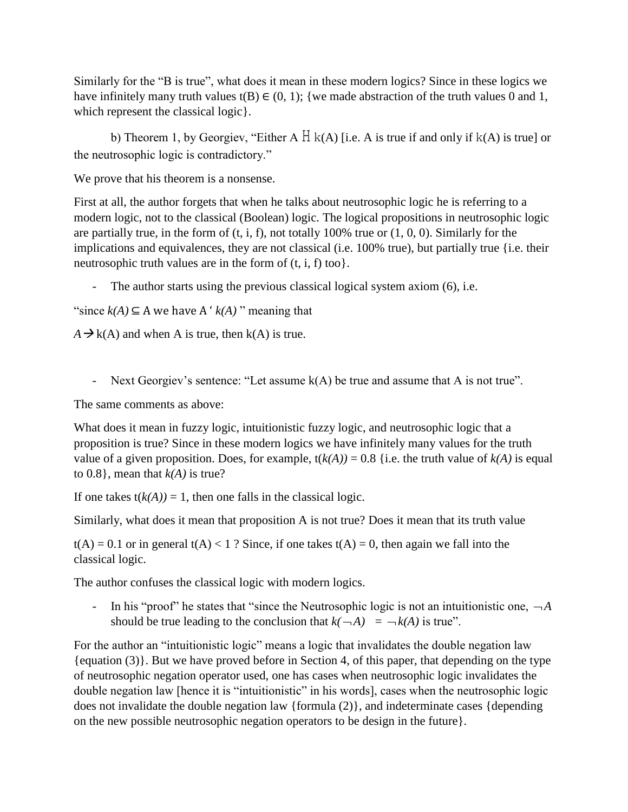Similarly for the "B is true", what does it mean in these modern logics? Since in these logics we have infinitely many truth values t(B)  $\in$  (0, 1); {we made abstraction of the truth values 0 and 1, which represent the classical logic }.

b) Theorem 1, by Georgiev, "Either A  $H$  k(A) [i.e. A is true if and only if k(A) is true] or the neutrosophic logic is contradictory."

We prove that his theorem is a nonsense.

First at all, the author forgets that when he talks about neutrosophic logic he is referring to a modern logic, not to the classical (Boolean) logic. The logical propositions in neutrosophic logic are partially true, in the form of  $(t, i, f)$ , not totally 100% true or  $(1, 0, 0)$ . Similarly for the implications and equivalences, they are not classical (i.e. 100% true), but partially true {i.e. their neutrosophic truth values are in the form of  $(t, i, f)$  too}.

The author starts using the previous classical logical system axiom (6), i.e.

"since  $k(A) \subseteq A$  we have  $A' k(A)$ " meaning that

 $A \rightarrow k(A)$  and when A is true, then  $k(A)$  is true.

- Next Georgiev's sentence: "Let assume k(A) be true and assume that A is not true".

The same comments as above:

What does it mean in fuzzy logic, intuitionistic fuzzy logic, and neutrosophic logic that a proposition is true? Since in these modern logics we have infinitely many values for the truth value of a given proposition. Does, for example,  $t(k(A)) = 0.8$  {i.e. the truth value of  $k(A)$  is equal to  $0.8$ }, mean that  $k(A)$  is true?

If one takes  $t(k(A)) = 1$ , then one falls in the classical logic.

Similarly, what does it mean that proposition A is not true? Does it mean that its truth value

 $t(A) = 0.1$  or in general  $t(A) < 1$ ? Since, if one takes  $t(A) = 0$ , then again we fall into the classical logic.

The author confuses the classical logic with modern logics.

- In his "proof" he states that "since the Neutrosophic logic is not an intuitionistic one,  $\neg A$ should be true leading to the conclusion that  $k(\neg A) = \neg k(A)$  is true".

For the author an "intuitionistic logic" means a logic that invalidates the double negation law {equation (3)}. But we have proved before in Section 4, of this paper, that depending on the type of neutrosophic negation operator used, one has cases when neutrosophic logic invalidates the double negation law [hence it is "intuitionistic" in his words], cases when the neutrosophic logic does not invalidate the double negation law {formula (2)}, and indeterminate cases {depending on the new possible neutrosophic negation operators to be design in the future}.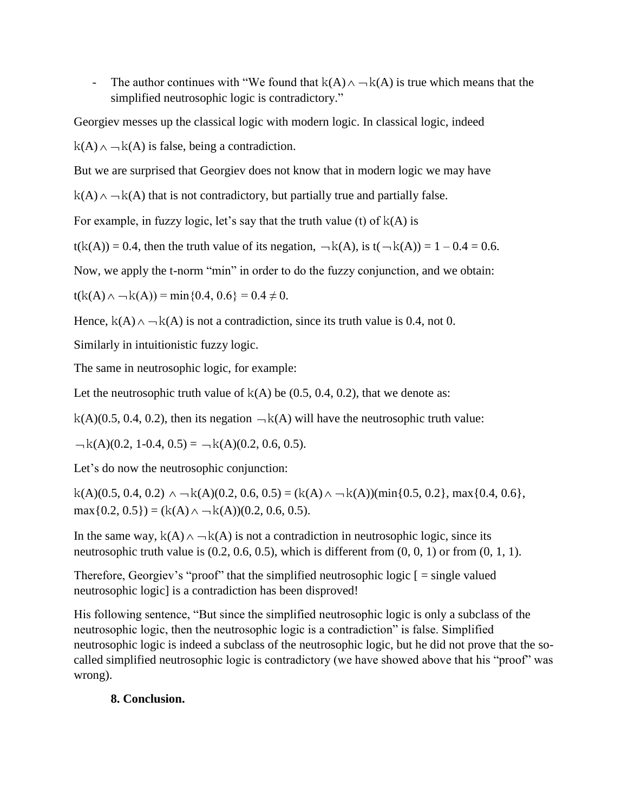- The author continues with "We found that  $k(A) \wedge \neg k(A)$  is true which means that the simplified neutrosophic logic is contradictory."

Georgiev messes up the classical logic with modern logic. In classical logic, indeed

 $k(A) \wedge \neg k(A)$  is false, being a contradiction.

But we are surprised that Georgiev does not know that in modern logic we may have

 $k(A) \wedge \neg k(A)$  that is not contradictory, but partially true and partially false.

For example, in fuzzy logic, let's say that the truth value (t) of  $k(A)$  is

 $t(k(A)) = 0.4$ , then the truth value of its negation,  $-k(A)$ , is  $t(-k(A)) = 1 - 0.4 = 0.6$ .

Now, we apply the t-norm "min" in order to do the fuzzy conjunction, and we obtain:

 $t(k(A) \wedge \neg k(A)) = \min\{0.4, 0.6\} = 0.4 \neq 0.$ 

Hence,  $k(A) \wedge \neg k(A)$  is not a contradiction, since its truth value is 0.4, not 0.

Similarly in intuitionistic fuzzy logic.

The same in neutrosophic logic, for example:

Let the neutrosophic truth value of  $k(A)$  be (0.5, 0.4, 0.2), that we denote as:

 $k(A)(0.5, 0.4, 0.2)$ , then its negation  $-k(A)$  will have the neutrosophic truth value:

 $-k(A)(0.2, 1-0.4, 0.5) = -k(A)(0.2, 0.6, 0.5).$ 

Let's do now the neutrosophic conjunction:

 $k(A)(0.5, 0.4, 0.2) \wedge \neg k(A)(0.2, 0.6, 0.5) = (k(A) \wedge \neg k(A)) (\min\{0.5, 0.2\}, \max\{0.4, 0.6\},$  $max{0.2, 0.5}) = (k(A) \land \neg k(A))(0.2, 0.6, 0.5).$ 

In the same way,  $k(A) \wedge \neg k(A)$  is not a contradiction in neutrosophic logic, since its neutrosophic truth value is  $(0.2, 0.6, 0.5)$ , which is different from  $(0, 0, 1)$  or from  $(0, 1, 1)$ .

Therefore, Georgiev's "proof" that the simplified neutrosophic logic  $\mathfrak{[} = \text{single valued}$ neutrosophic logic] is a contradiction has been disproved!

His following sentence, "But since the simplified neutrosophic logic is only a subclass of the neutrosophic logic, then the neutrosophic logic is a contradiction" is false. Simplified neutrosophic logic is indeed a subclass of the neutrosophic logic, but he did not prove that the socalled simplified neutrosophic logic is contradictory (we have showed above that his "proof" was wrong).

## **8. Conclusion.**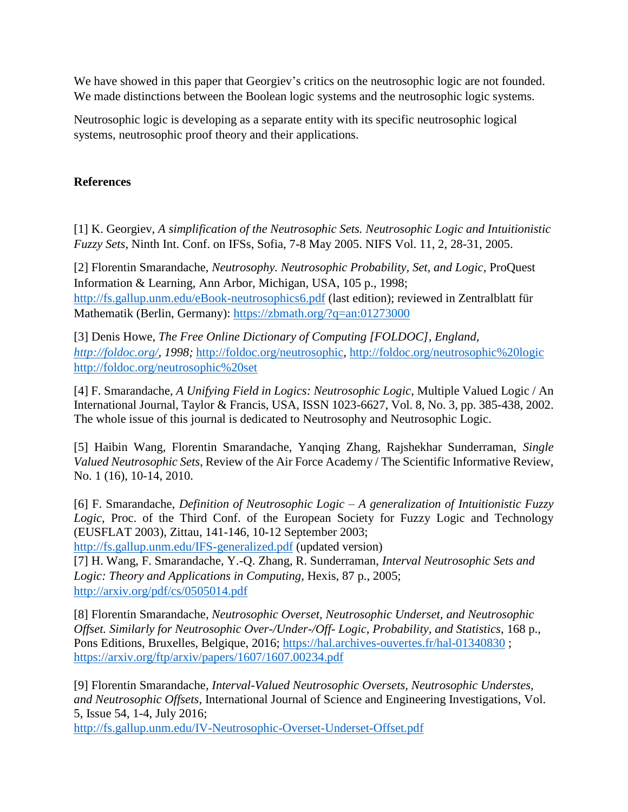We have showed in this paper that Georgiev's critics on the neutrosophic logic are not founded. We made distinctions between the Boolean logic systems and the neutrosophic logic systems.

Neutrosophic logic is developing as a separate entity with its specific neutrosophic logical systems, neutrosophic proof theory and their applications.

### **References**

[1] K. Georgiev, *A simplification of the Neutrosophic Sets. Neutrosophic Logic and Intuitionistic Fuzzy Sets*, Ninth Int. Conf. on IFSs, Sofia, 7-8 May 2005. NIFS Vol. 11, 2, 28-31, 2005.

[2] Florentin Smarandache, *Neutrosophy. Neutrosophic Probability, Set, and Logic*, ProQuest Information & Learning, Ann Arbor, Michigan, USA, 105 p., 1998; <http://fs.gallup.unm.edu/eBook-neutrosophics6.pdf> (last edition); reviewed in Zentralblatt für Mathematik (Berlin, Germany):<https://zbmath.org/?q=an:01273000>

[3] Denis Howe, *The Free Online Dictionary of Computing [FOLDOC], England, [http://foldoc.org/,](http://foldoc.org/) 1998;* [http://foldoc.org/neutrosophic,](http://foldoc.org/neutrosophic)<http://foldoc.org/neutrosophic%20logic> <http://foldoc.org/neutrosophic%20set>

[4] F. Smarandache, *A Unifying Field in Logics: Neutrosophic Logic*, Multiple Valued Logic / An International Journal, Taylor & Francis, USA, ISSN 1023-6627, Vol. 8, No. 3, pp. 385-438, 2002. The whole issue of this journal is dedicated to Neutrosophy and Neutrosophic Logic.

[5] Haibin Wang, Florentin Smarandache, Yanqing Zhang, Rajshekhar Sunderraman, *Single Valued Neutrosophic Sets*, Review of the Air Force Academy / The Scientific Informative Review, No. 1 (16), 10-14, 2010.

[6] F. Smarandache, *Definition of Neutrosophic Logic – A generalization of Intuitionistic Fuzzy Logic*, Proc. of the Third Conf. of the European Society for Fuzzy Logic and Technology (EUSFLAT 2003), Zittau, 141-146, 10-12 September 2003;

<http://fs.gallup.unm.edu/IFS-generalized.pdf> (updated version)

[7] H. Wang, F. Smarandache, Y.-Q. Zhang, R. Sunderraman, *Interval Neutrosophic Sets and Logic: Theory and Applications in Computing*, Hexis, 87 p., 2005; <http://arxiv.org/pdf/cs/0505014.pdf>

[8] Florentin Smarandache*, Neutrosophic Overset, Neutrosophic Underset, and Neutrosophic Offset. Similarly for Neutrosophic Over-/Under-/Off- Logic, Probability, and Statistics*, 168 p., Pons Editions, Bruxelles, Belgique, 2016;<https://hal.archives-ouvertes.fr/hal-01340830> ; <https://arxiv.org/ftp/arxiv/papers/1607/1607.00234.pdf>

[9] Florentin Smarandache, *Interval-Valued Neutrosophic Oversets, Neutrosophic Understes, and Neutrosophic Offsets*, International Journal of Science and Engineering Investigations, Vol. 5, Issue 54, 1-4, July 2016;

<http://fs.gallup.unm.edu/IV-Neutrosophic-Overset-Underset-Offset.pdf>